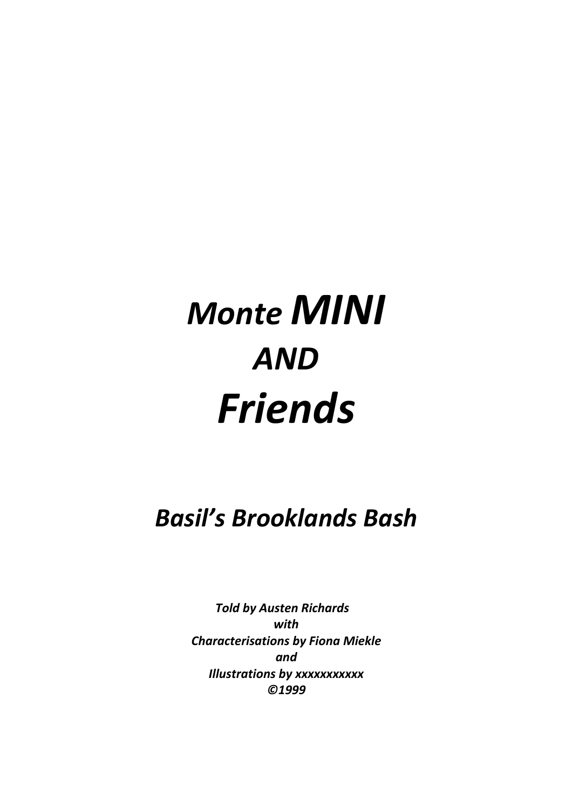## *Monte MINI AND Friends*

*Basil's Brooklands Bash*

 *Told by Austen Richards with Characterisations by Fiona Miekle and Illustrations by xxxxxxxxxxx ©1999*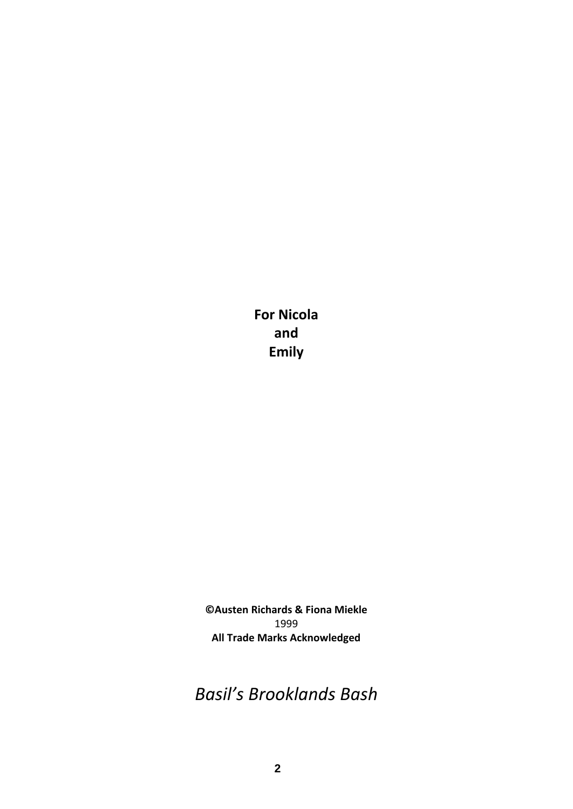**For Nicola and Emily**

**©Austen Richards & Fiona Miekle** 1999 **All Trade Marks Acknowledged**

*Basil's Brooklands Bash*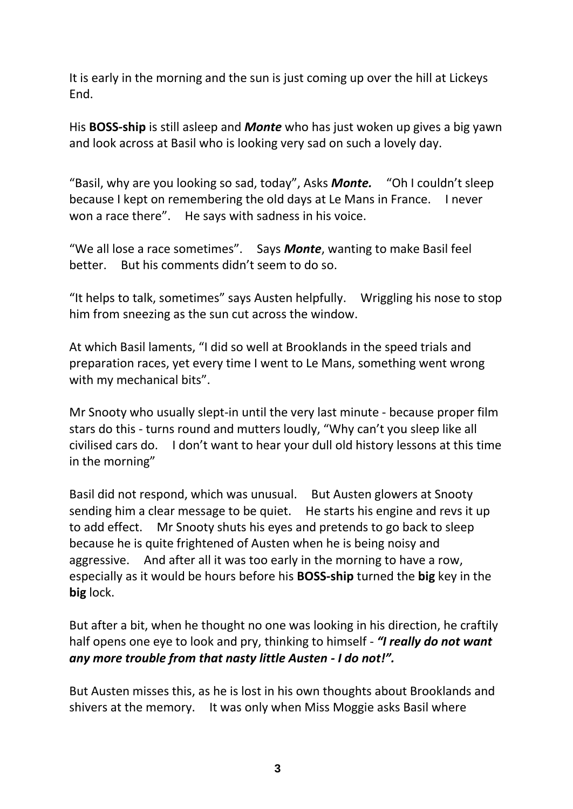It is early in the morning and the sun is just coming up over the hill at Lickeys End.

His **BOSS-ship** is still asleep and *Monte* who has just woken up gives a big yawn and look across at Basil who is looking very sad on such a lovely day.

"Basil, why are you looking so sad, today", Asks *Monte.* "Oh I couldn't sleep because I kept on remembering the old days at Le Mans in France. I never won a race there". He says with sadness in his voice.

"We all lose a race sometimes". Says *Monte*, wanting to make Basil feel better. But his comments didn't seem to do so.

"It helps to talk, sometimes" says Austen helpfully. Wriggling his nose to stop him from sneezing as the sun cut across the window.

At which Basil laments, "I did so well at Brooklands in the speed trials and preparation races, yet every time I went to Le Mans, something went wrong with my mechanical bits".

Mr Snooty who usually slept-in until the very last minute - because proper film stars do this - turns round and mutters loudly, "Why can't you sleep like all civilised cars do. I don't want to hear your dull old history lessons at this time in the morning"

Basil did not respond, which was unusual. But Austen glowers at Snooty sending him a clear message to be quiet. He starts his engine and revs it up to add effect. Mr Snooty shuts his eyes and pretends to go back to sleep because he is quite frightened of Austen when he is being noisy and aggressive. And after all it was too early in the morning to have a row, especially as it would be hours before his **BOSS-ship** turned the **big** key in the **big** lock.

But after a bit, when he thought no one was looking in his direction, he craftily half opens one eye to look and pry, thinking to himself - *"I really do not want any more trouble from that nasty little Austen - I do not!".*

But Austen misses this, as he is lost in his own thoughts about Brooklands and shivers at the memory. It was only when Miss Moggie asks Basil where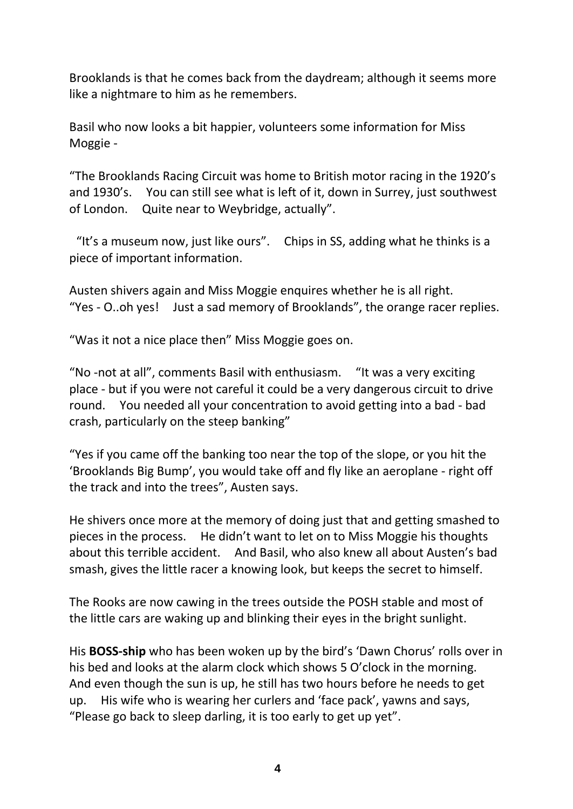Brooklands is that he comes back from the daydream; although it seems more like a nightmare to him as he remembers.

Basil who now looks a bit happier, volunteers some information for Miss Moggie -

"The Brooklands Racing Circuit was home to British motor racing in the 1920's and 1930's. You can still see what is left of it, down in Surrey, just southwest of London. Quite near to Weybridge, actually".

"It's a museum now, just like ours". Chips in SS, adding what he thinks is a piece of important information.

Austen shivers again and Miss Moggie enquires whether he is all right. "Yes - O..oh yes! Just a sad memory of Brooklands", the orange racer replies.

"Was it not a nice place then" Miss Moggie goes on.

"No -not at all", comments Basil with enthusiasm. "It was a very exciting place - but if you were not careful it could be a very dangerous circuit to drive round. You needed all your concentration to avoid getting into a bad - bad crash, particularly on the steep banking"

"Yes if you came off the banking too near the top of the slope, or you hit the 'Brooklands Big Bump', you would take off and fly like an aeroplane - right off the track and into the trees", Austen says.

He shivers once more at the memory of doing just that and getting smashed to pieces in the process. He didn't want to let on to Miss Moggie his thoughts about this terrible accident. And Basil, who also knew all about Austen's bad smash, gives the little racer a knowing look, but keeps the secret to himself.

The Rooks are now cawing in the trees outside the POSH stable and most of the little cars are waking up and blinking their eyes in the bright sunlight.

His **BOSS-ship** who has been woken up by the bird's 'Dawn Chorus' rolls over in his bed and looks at the alarm clock which shows 5 O'clock in the morning. And even though the sun is up, he still has two hours before he needs to get up. His wife who is wearing her curlers and 'face pack', yawns and says, "Please go back to sleep darling, it is too early to get up yet".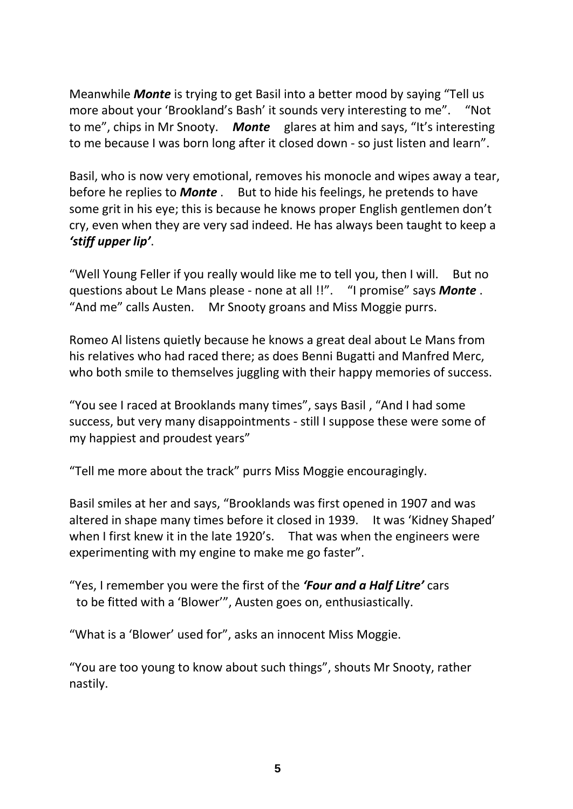Meanwhile *Monte* is trying to get Basil into a better mood by saying "Tell us more about your 'Brookland's Bash' it sounds very interesting to me". "Not to me", chips in Mr Snooty. *Monte* glares at him and says, "It's interesting to me because I was born long after it closed down - so just listen and learn".

Basil, who is now very emotional, removes his monocle and wipes away a tear, before he replies to *Monte* . But to hide his feelings, he pretends to have some grit in his eye; this is because he knows proper English gentlemen don't cry, even when they are very sad indeed. He has always been taught to keep a *'stiff upper lip'*.

"Well Young Feller if you really would like me to tell you, then I will. But no questions about Le Mans please - none at all !!". "I promise" says *Monte* . "And me" calls Austen. Mr Snooty groans and Miss Moggie purrs.

Romeo Al listens quietly because he knows a great deal about Le Mans from his relatives who had raced there; as does Benni Bugatti and Manfred Merc, who both smile to themselves juggling with their happy memories of success.

"You see I raced at Brooklands many times", says Basil , "And I had some success, but very many disappointments - still I suppose these were some of my happiest and proudest years"

"Tell me more about the track" purrs Miss Moggie encouragingly.

Basil smiles at her and says, "Brooklands was first opened in 1907 and was altered in shape many times before it closed in 1939. It was 'Kidney Shaped' when I first knew it in the late 1920's. That was when the engineers were experimenting with my engine to make me go faster".

"Yes, I remember you were the first of the *'Four and a Half Litre'* cars to be fitted with a 'Blower'", Austen goes on, enthusiastically.

"What is a 'Blower' used for", asks an innocent Miss Moggie.

"You are too young to know about such things", shouts Mr Snooty, rather nastily.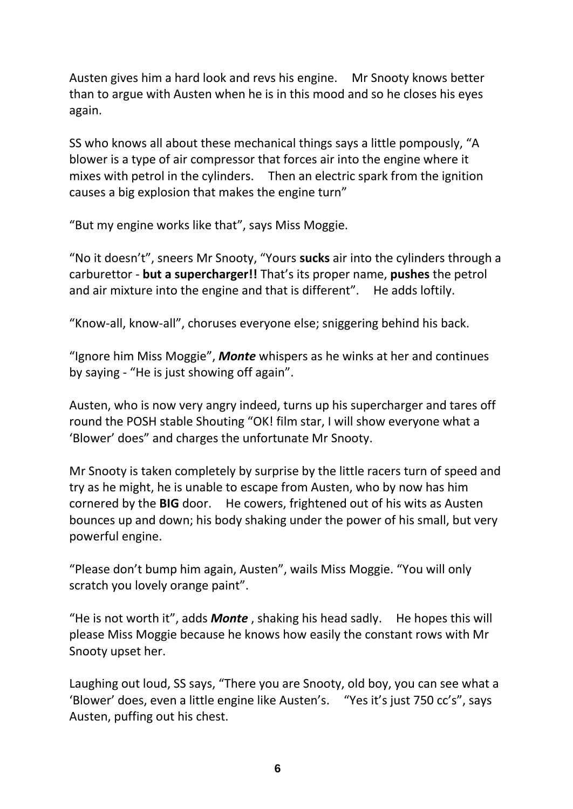Austen gives him a hard look and revs his engine. Mr Snooty knows better than to argue with Austen when he is in this mood and so he closes his eyes again.

SS who knows all about these mechanical things says a little pompously, "A blower is a type of air compressor that forces air into the engine where it mixes with petrol in the cylinders. Then an electric spark from the ignition causes a big explosion that makes the engine turn"

"But my engine works like that", says Miss Moggie.

"No it doesn't", sneers Mr Snooty, "Yours **sucks** air into the cylinders through a carburettor - **but a supercharger!!** That's its proper name, **pushes** the petrol and air mixture into the engine and that is different". He adds loftily.

"Know-all, know-all", choruses everyone else; sniggering behind his back.

"Ignore him Miss Moggie", *Monte* whispers as he winks at her and continues by saying - "He is just showing off again".

Austen, who is now very angry indeed, turns up his supercharger and tares off round the POSH stable Shouting "OK! film star, I will show everyone what a 'Blower' does" and charges the unfortunate Mr Snooty.

Mr Snooty is taken completely by surprise by the little racers turn of speed and try as he might, he is unable to escape from Austen, who by now has him cornered by the **BIG** door. He cowers, frightened out of his wits as Austen bounces up and down; his body shaking under the power of his small, but very powerful engine.

"Please don't bump him again, Austen", wails Miss Moggie. "You will only scratch you lovely orange paint".

"He is not worth it", adds *Monte* , shaking his head sadly. He hopes this will please Miss Moggie because he knows how easily the constant rows with Mr Snooty upset her.

Laughing out loud, SS says, "There you are Snooty, old boy, you can see what a 'Blower' does, even a little engine like Austen's. "Yes it's just 750 cc's", says Austen, puffing out his chest.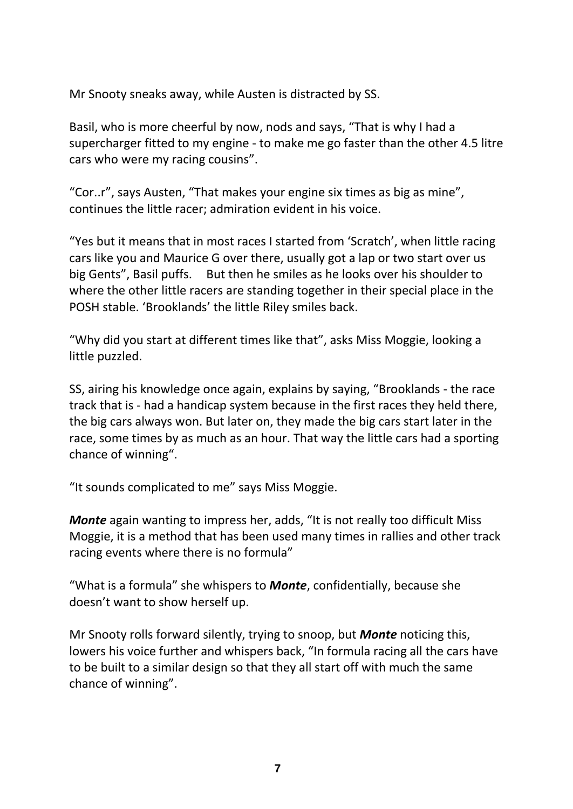Mr Snooty sneaks away, while Austen is distracted by SS.

Basil, who is more cheerful by now, nods and says, "That is why I had a supercharger fitted to my engine - to make me go faster than the other 4.5 litre cars who were my racing cousins".

"Cor..r", says Austen, "That makes your engine six times as big as mine", continues the little racer; admiration evident in his voice.

"Yes but it means that in most races I started from 'Scratch', when little racing cars like you and Maurice G over there, usually got a lap or two start over us big Gents", Basil puffs. But then he smiles as he looks over his shoulder to where the other little racers are standing together in their special place in the POSH stable. 'Brooklands' the little Riley smiles back.

"Why did you start at different times like that", asks Miss Moggie, looking a little puzzled.

SS, airing his knowledge once again, explains by saying, "Brooklands - the race track that is - had a handicap system because in the first races they held there, the big cars always won. But later on, they made the big cars start later in the race, some times by as much as an hour. That way the little cars had a sporting chance of winning".

"It sounds complicated to me" says Miss Moggie.

*Monte* again wanting to impress her, adds, "It is not really too difficult Miss Moggie, it is a method that has been used many times in rallies and other track racing events where there is no formula"

"What is a formula" she whispers to *Monte*, confidentially, because she doesn't want to show herself up.

Mr Snooty rolls forward silently, trying to snoop, but *Monte* noticing this, lowers his voice further and whispers back, "In formula racing all the cars have to be built to a similar design so that they all start off with much the same chance of winning".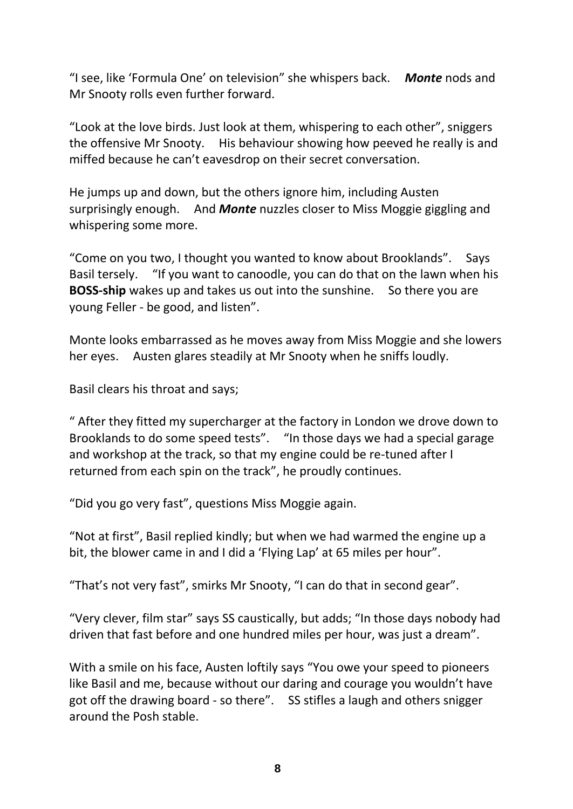"I see, like 'Formula One' on television" she whispers back. *Monte* nods and Mr Snooty rolls even further forward.

"Look at the love birds. Just look at them, whispering to each other", sniggers the offensive Mr Snooty. His behaviour showing how peeved he really is and miffed because he can't eavesdrop on their secret conversation.

He jumps up and down, but the others ignore him, including Austen surprisingly enough. And *Monte* nuzzles closer to Miss Moggie giggling and whispering some more.

"Come on you two, I thought you wanted to know about Brooklands". Says Basil tersely. "If you want to canoodle, you can do that on the lawn when his **BOSS-ship** wakes up and takes us out into the sunshine. So there you are young Feller - be good, and listen".

Monte looks embarrassed as he moves away from Miss Moggie and she lowers her eyes. Austen glares steadily at Mr Snooty when he sniffs loudly.

Basil clears his throat and says;

" After they fitted my supercharger at the factory in London we drove down to Brooklands to do some speed tests". "In those days we had a special garage and workshop at the track, so that my engine could be re-tuned after I returned from each spin on the track", he proudly continues.

"Did you go very fast", questions Miss Moggie again.

"Not at first", Basil replied kindly; but when we had warmed the engine up a bit, the blower came in and I did a 'Flying Lap' at 65 miles per hour".

"That's not very fast", smirks Mr Snooty, "I can do that in second gear".

"Very clever, film star" says SS caustically, but adds; "In those days nobody had driven that fast before and one hundred miles per hour, was just a dream".

With a smile on his face, Austen loftily says "You owe your speed to pioneers like Basil and me, because without our daring and courage you wouldn't have got off the drawing board - so there". SS stifles a laugh and others snigger around the Posh stable.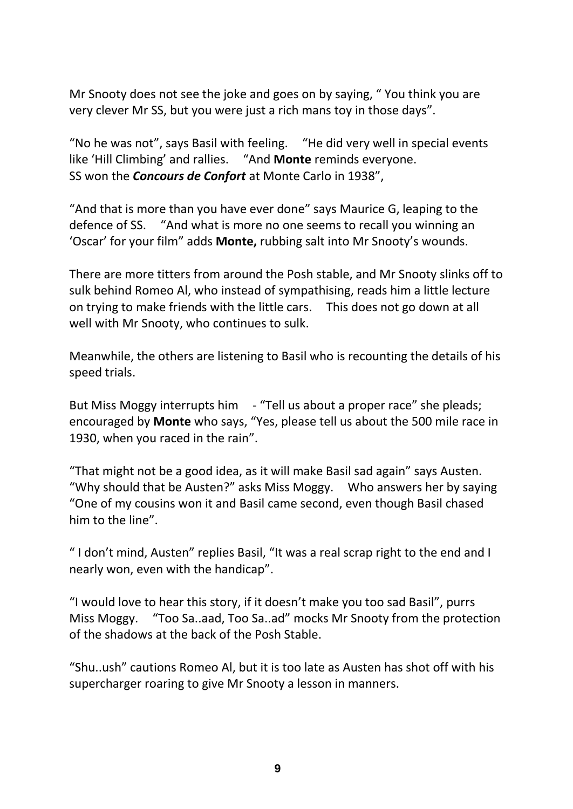Mr Snooty does not see the joke and goes on by saying, " You think you are very clever Mr SS, but you were just a rich mans toy in those days".

"No he was not", says Basil with feeling. "He did very well in special events like 'Hill Climbing' and rallies. "And **Monte** reminds everyone. SS won the *Concours de Confort* at Monte Carlo in 1938",

"And that is more than you have ever done" says Maurice G, leaping to the defence of SS. "And what is more no one seems to recall you winning an 'Oscar' for your film" adds **Monte,** rubbing salt into Mr Snooty's wounds.

There are more titters from around the Posh stable, and Mr Snooty slinks off to sulk behind Romeo Al, who instead of sympathising, reads him a little lecture on trying to make friends with the little cars. This does not go down at all well with Mr Snooty, who continues to sulk.

Meanwhile, the others are listening to Basil who is recounting the details of his speed trials.

But Miss Moggy interrupts him - "Tell us about a proper race" she pleads; encouraged by **Monte** who says, "Yes, please tell us about the 500 mile race in 1930, when you raced in the rain".

"That might not be a good idea, as it will make Basil sad again" says Austen. "Why should that be Austen?" asks Miss Moggy. Who answers her by saying "One of my cousins won it and Basil came second, even though Basil chased him to the line".

" I don't mind, Austen" replies Basil, "It was a real scrap right to the end and I nearly won, even with the handicap".

"I would love to hear this story, if it doesn't make you too sad Basil", purrs Miss Moggy. "Too Sa..aad, Too Sa..ad" mocks Mr Snooty from the protection of the shadows at the back of the Posh Stable.

"Shu..ush" cautions Romeo Al, but it is too late as Austen has shot off with his supercharger roaring to give Mr Snooty a lesson in manners.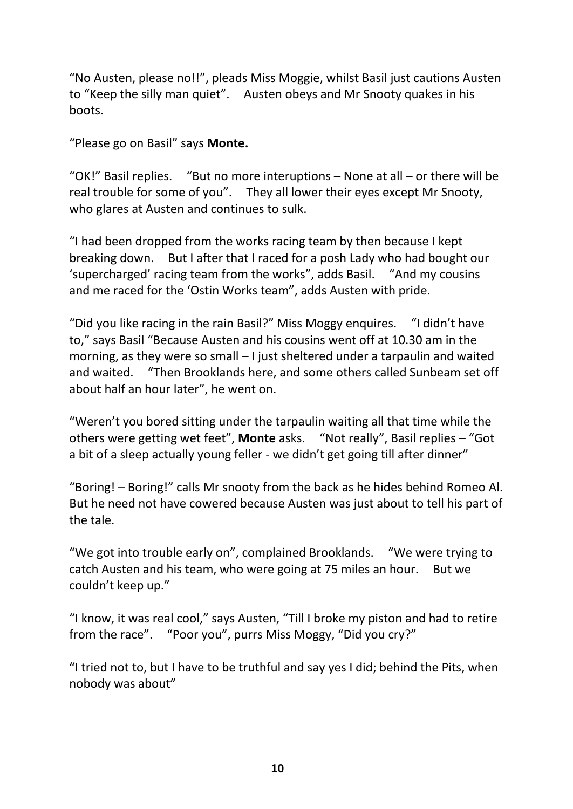"No Austen, please no!!", pleads Miss Moggie, whilst Basil just cautions Austen to "Keep the silly man quiet". Austen obeys and Mr Snooty quakes in his boots.

"Please go on Basil" says **Monte.**

"OK!" Basil replies. "But no more interuptions – None at all – or there will be real trouble for some of you". They all lower their eyes except Mr Snooty, who glares at Austen and continues to sulk.

"I had been dropped from the works racing team by then because I kept breaking down. But I after that I raced for a posh Lady who had bought our 'supercharged' racing team from the works", adds Basil. "And my cousins and me raced for the 'Ostin Works team", adds Austen with pride.

"Did you like racing in the rain Basil?" Miss Moggy enquires. "I didn't have to," says Basil "Because Austen and his cousins went off at 10.30 am in the morning, as they were so small – I just sheltered under a tarpaulin and waited and waited. "Then Brooklands here, and some others called Sunbeam set off about half an hour later", he went on.

"Weren't you bored sitting under the tarpaulin waiting all that time while the others were getting wet feet", **Monte** asks. "Not really", Basil replies – "Got a bit of a sleep actually young feller - we didn't get going till after dinner"

"Boring! – Boring!" calls Mr snooty from the back as he hides behind Romeo Al. But he need not have cowered because Austen was just about to tell his part of the tale.

"We got into trouble early on", complained Brooklands. "We were trying to catch Austen and his team, who were going at 75 miles an hour. But we couldn't keep up."

"I know, it was real cool," says Austen, "Till I broke my piston and had to retire from the race". "Poor you", purrs Miss Moggy, "Did you cry?"

"I tried not to, but I have to be truthful and say yes I did; behind the Pits, when nobody was about"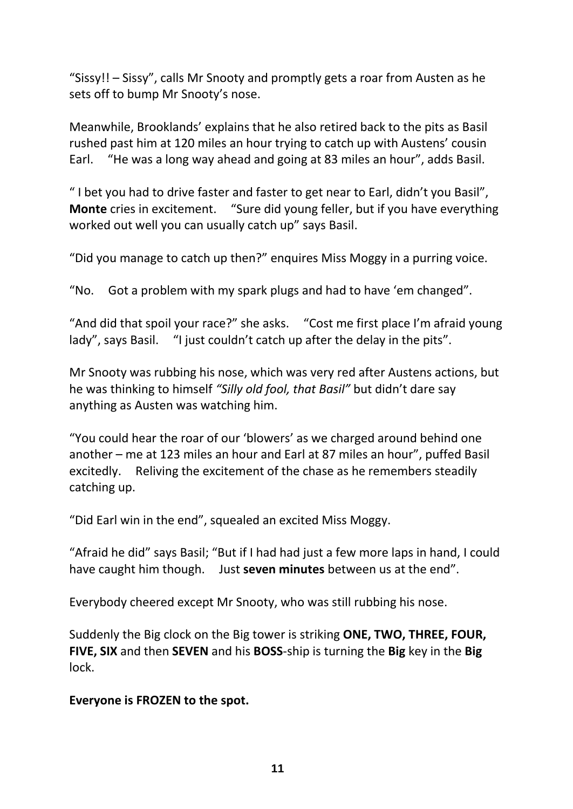"Sissy!! – Sissy", calls Mr Snooty and promptly gets a roar from Austen as he sets off to bump Mr Snooty's nose.

Meanwhile, Brooklands' explains that he also retired back to the pits as Basil rushed past him at 120 miles an hour trying to catch up with Austens' cousin Earl. "He was a long way ahead and going at 83 miles an hour", adds Basil.

" I bet you had to drive faster and faster to get near to Earl, didn't you Basil", **Monte** cries in excitement. "Sure did young feller, but if you have everything worked out well you can usually catch up" says Basil.

"Did you manage to catch up then?" enquires Miss Moggy in a purring voice.

"No. Got a problem with my spark plugs and had to have 'em changed".

"And did that spoil your race?" she asks. "Cost me first place I'm afraid young lady", says Basil. "I just couldn't catch up after the delay in the pits".

Mr Snooty was rubbing his nose, which was very red after Austens actions, but he was thinking to himself *"Silly old fool, that Basil"* but didn't dare say anything as Austen was watching him.

"You could hear the roar of our 'blowers' as we charged around behind one another – me at 123 miles an hour and Earl at 87 miles an hour", puffed Basil excitedly. Reliving the excitement of the chase as he remembers steadily catching up.

"Did Earl win in the end", squealed an excited Miss Moggy.

"Afraid he did" says Basil; "But if I had had just a few more laps in hand, I could have caught him though. Just **seven minutes** between us at the end".

Everybody cheered except Mr Snooty, who was still rubbing his nose.

Suddenly the Big clock on the Big tower is striking **ONE, TWO, THREE, FOUR, FIVE, SIX** and then **SEVEN** and his **BOSS**-ship is turning the **Big** key in the **Big** lock.

**Everyone is FROZEN to the spot.**